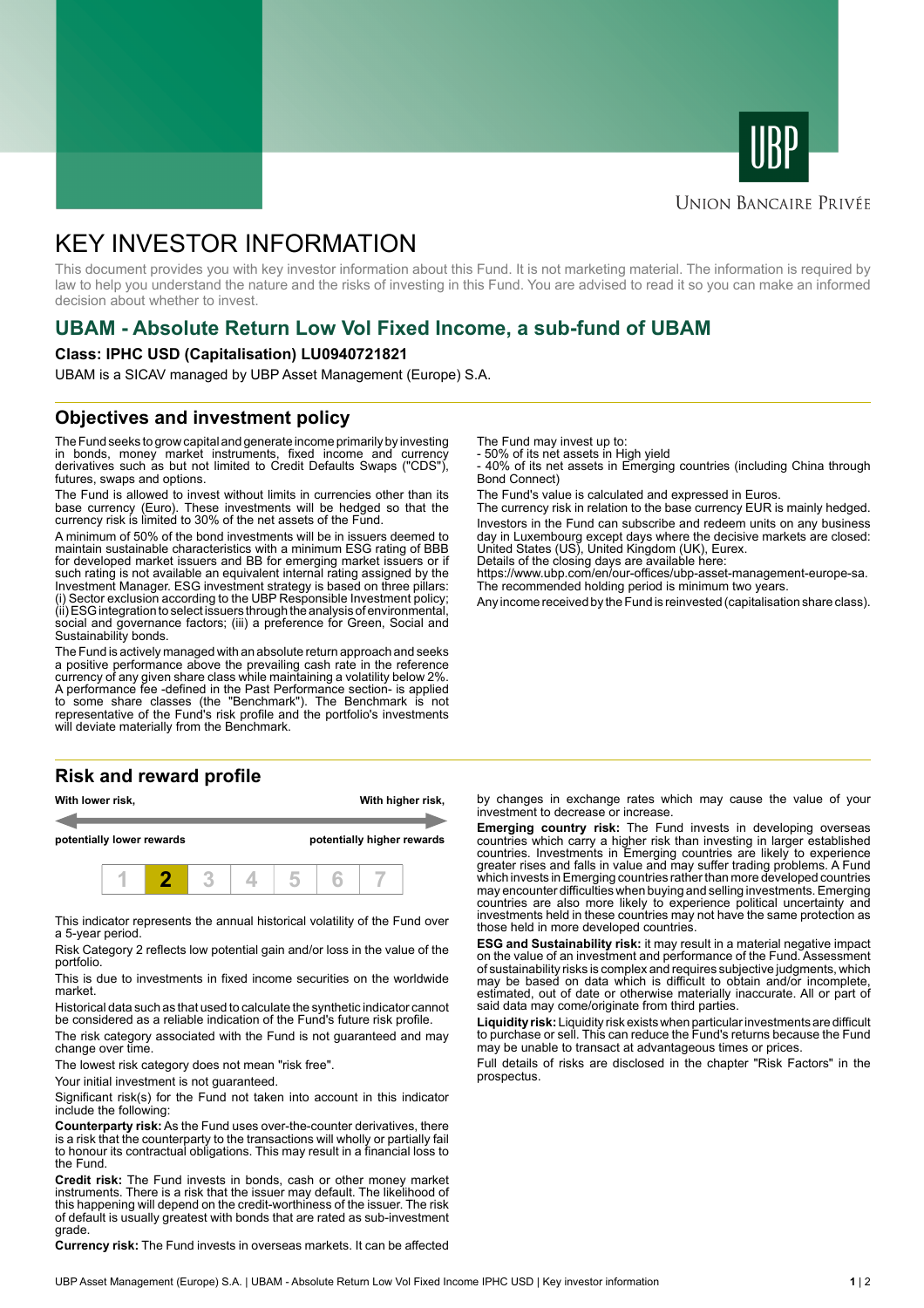



#### **UNION BANCAIRE PRIVÉE**

# KEY INVESTOR INFORMATION

This document provides you with key investor information about this Fund. It is not marketing material. The information is required by law to help you understand the nature and the risks of investing in this Fund. You are advised to read it so you can make an informed decision about whether to invest.

## **UBAM - Absolute Return Low Vol Fixed Income, a sub-fund of UBAM**

#### **Class: IPHC USD (Capitalisation) LU0940721821**

UBAM is a SICAV managed by UBP Asset Management (Europe) S.A.

#### **Objectives and investment policy**

The Fund seeks to grow capital and generate income primarily by investing in bonds, money market instruments, fixed income and currency derivatives such as but not limited to Credit Defaults Swaps ("CDS"), futures, swaps and options.

The Fund is allowed to invest without limits in currencies other than its base currency (Euro). These investments will be hedged so that the currency risk is limited to 30% of the net assets of the Fund.

A minimum of 50% of the bond investments will be in issuers deemed to maintain sustainable characteristics with a minimum ESG rating of BBB for developed market issuers and BB for emerging market issuers or if such rating is not available an equivalent internal rating assigned by the Investment Manager. ESG investment strategy is based on three pillars: (i) Sector exclusion according to the UBP Responsible Investment policy; (ii) ESG integration to select issuers through the analysis of environmental, social and governance factors; (iii) a preference for Green, Social and Sustainability bonds.

The Fund is actively managed with an absolute return approach and seeks a positive performance above the prevailing cash rate in the reference currency of any given share class while maintaining a volatility below 2%. A performance fee -defined in the Past Performance section- is applied to some share classes (the "Benchmark"). The Benchmark is not representative of the Fund's risk profile and the portfolio's investments will deviate materially from the Benchmark.

### **Risk and reward profile**

| With lower risk,          |  |  |  |                            | With higher risk, |  |  |  |
|---------------------------|--|--|--|----------------------------|-------------------|--|--|--|
| potentially lower rewards |  |  |  | potentially higher rewards |                   |  |  |  |
|                           |  |  |  |                            |                   |  |  |  |

This indicator represents the annual historical volatility of the Fund over a 5-year period.

Risk Category 2 reflects low potential gain and/or loss in the value of the portfolio.

This is due to investments in fixed income securities on the worldwide market.

Historical data such as that used to calculate the synthetic indicator cannot be considered as a reliable indication of the Fund's future risk profile.

The risk category associated with the Fund is not guaranteed and may change over time.

The lowest risk category does not mean "risk free".

Your initial investment is not guaranteed.

Significant risk(s) for the Fund not taken into account in this indicator include the following:

**Counterparty risk:** As the Fund uses over-the-counter derivatives, there is a risk that the counterparty to the transactions will wholly or partially fail to honour its contractual obligations. This may result in a financial loss to the Fund.

**Credit risk:** The Fund invests in bonds, cash or other money market instruments. There is a risk that the issuer may default. The likelihood of this happening will depend on the credit-worthiness of the issuer. The risk of default is usually greatest with bonds that are rated as sub-investment grade.

**Currency risk:** The Fund invests in overseas markets. It can be affected

The Fund may invest up to:

- 50% of its net assets in High yield

- 40% of its net assets in Emerging countries (including China through Bond Connect)

The Fund's value is calculated and expressed in Euros.

The currency risk in relation to the base currency EUR is mainly hedged. Investors in the Fund can subscribe and redeem units on any business day in Luxembourg except days where the decisive markets are closed: United States (US), United Kingdom (UK), Eurex.

Details of the closing days are available here:

https://www.ubp.com/en/our-offices/ubp-asset-management-europe-sa. The recommended holding period is minimum two years.

Any income received by the Fund is reinvested (capitalisation share class).

by changes in exchange rates which may cause the value of your investment to decrease or increase.

**Emerging country risk:** The Fund invests in developing overseas countries which carry a higher risk than investing in larger established countries. Investments in Emerging countries are likely to experience greater rises and falls in value and may suffer trading problems. A Fund which invests in Emerging countries rather than more developed countries may encounter difficulties when buying and selling investments. Emerging countries are also more likely to experience political uncertainty and investments held in these countries may not have the same protection as those held in more developed countries.

**ESG and Sustainability risk:** it may result in a material negative impact on the value of an investment and performance of the Fund. Assessment of sustainability risks is complex and requires subjective judgments, which may be based on data which is difficult to obtain and/or incomplete, estimated, out of date or otherwise materially inaccurate. All or part of said data may come/originate from third parties.

**Liquidity risk:** Liquidity risk exists when particular investments are difficult to purchase or sell. This can reduce the Fund's returns because the Fund may be unable to transact at advantageous times or prices.

Full details of risks are disclosed in the chapter "Risk Factors" in the prospectus.